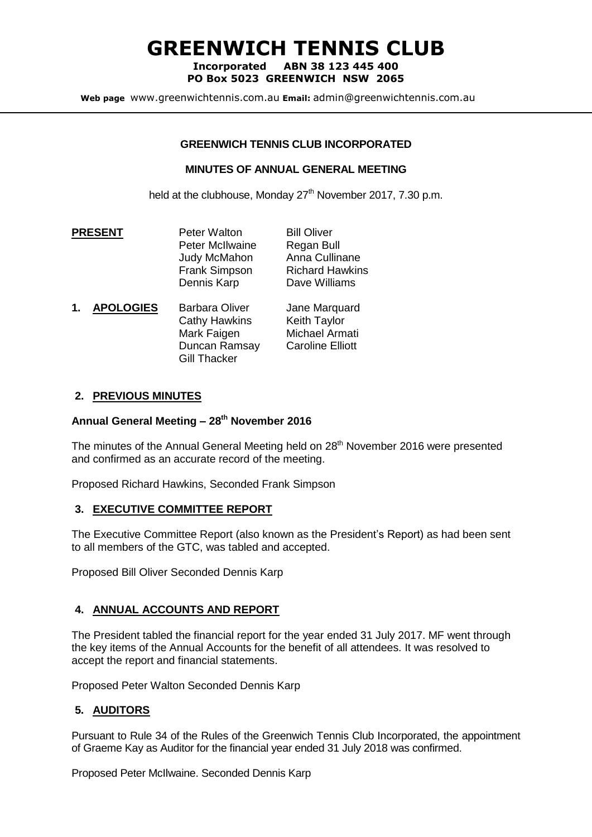# **GREENWICH TENNIS CLUB**

**Incorporated ABN 38 123 445 400 PO Box 5023 GREENWICH NSW 2065**

**Web page** www.greenwichtennis.com.au **Email:** admin@greenwichtennis.com.au

#### **GREENWICH TENNIS CLUB INCORPORATED**

#### **MINUTES OF ANNUAL GENERAL MEETING**

held at the clubhouse, Monday  $27<sup>th</sup>$  November 2017, 7.30 p.m.

- **PRESENT** Peter Walton Bill Oliver Peter McIlwaine Regan Bull Judy McMahon Anna Cullinane Frank Simpson Richard Hawkins Dennis Karp Dave Williams
- **1. APOLOGIES** Barbara Oliver Jane Marquard Cathy Hawkins Keith Taylor Mark Faigen Michael Armati<br>Duncan Ramsay Caroline Flliott Duncan Ramsay Gill Thacker

# **2. PREVIOUS MINUTES**

#### **Annual General Meeting – 28 th November 2016**

The minutes of the Annual General Meeting held on 28<sup>th</sup> November 2016 were presented and confirmed as an accurate record of the meeting.

Proposed Richard Hawkins, Seconded Frank Simpson

# **3. EXECUTIVE COMMITTEE REPORT**

The Executive Committee Report (also known as the President's Report) as had been sent to all members of the GTC, was tabled and accepted.

Proposed Bill Oliver Seconded Dennis Karp

# **4. ANNUAL ACCOUNTS AND REPORT**

The President tabled the financial report for the year ended 31 July 2017. MF went through the key items of the Annual Accounts for the benefit of all attendees. It was resolved to accept the report and financial statements.

Proposed Peter Walton Seconded Dennis Karp

# **5. AUDITORS**

Pursuant to Rule 34 of the Rules of the Greenwich Tennis Club Incorporated, the appointment of Graeme Kay as Auditor for the financial year ended 31 July 2018 was confirmed.

Proposed Peter McIlwaine. Seconded Dennis Karp